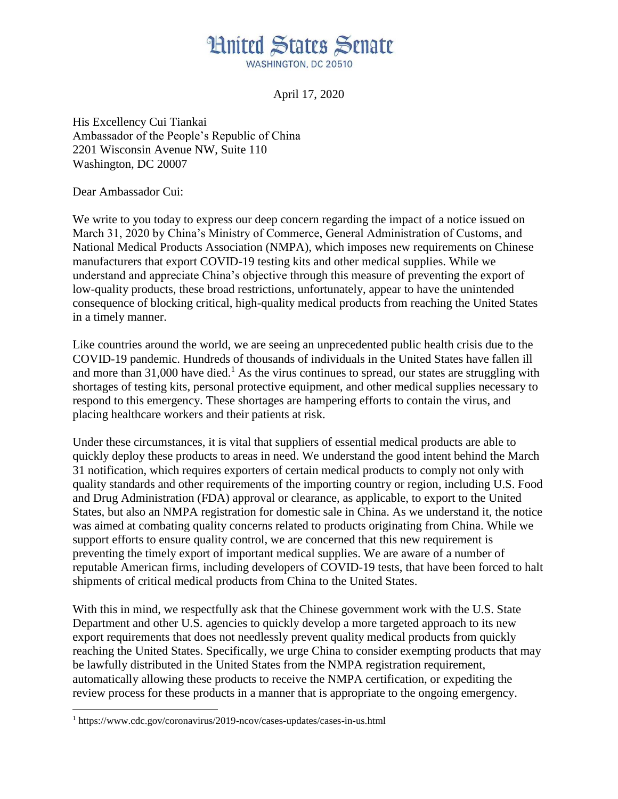## **Hnited States Senate** WASHINGTON, DC 20510

April 17, 2020

His Excellency Cui Tiankai Ambassador of the People's Republic of China 2201 Wisconsin Avenue NW, Suite 110 Washington, DC 20007

Dear Ambassador Cui:

We write to you today to express our deep concern regarding the impact of a notice issued on March 31, 2020 by China's Ministry of Commerce, General Administration of Customs, and National Medical Products Association (NMPA), which imposes new requirements on Chinese manufacturers that export COVID-19 testing kits and other medical supplies. While we understand and appreciate China's objective through this measure of preventing the export of low-quality products, these broad restrictions, unfortunately, appear to have the unintended consequence of blocking critical, high-quality medical products from reaching the United States in a timely manner.

Like countries around the world, we are seeing an unprecedented public health crisis due to the COVID-19 pandemic. Hundreds of thousands of individuals in the United States have fallen ill and more than  $31,000$  have died.<sup>1</sup> As the virus continues to spread, our states are struggling with shortages of testing kits, personal protective equipment, and other medical supplies necessary to respond to this emergency. These shortages are hampering efforts to contain the virus, and placing healthcare workers and their patients at risk.

Under these circumstances, it is vital that suppliers of essential medical products are able to quickly deploy these products to areas in need. We understand the good intent behind the March 31 notification, which requires exporters of certain medical products to comply not only with quality standards and other requirements of the importing country or region, including U.S. Food and Drug Administration (FDA) approval or clearance, as applicable, to export to the United States, but also an NMPA registration for domestic sale in China. As we understand it, the notice was aimed at combating quality concerns related to products originating from China. While we support efforts to ensure quality control, we are concerned that this new requirement is preventing the timely export of important medical supplies. We are aware of a number of reputable American firms, including developers of COVID-19 tests, that have been forced to halt shipments of critical medical products from China to the United States.

With this in mind, we respectfully ask that the Chinese government work with the U.S. State Department and other U.S. agencies to quickly develop a more targeted approach to its new export requirements that does not needlessly prevent quality medical products from quickly reaching the United States. Specifically, we urge China to consider exempting products that may be lawfully distributed in the United States from the NMPA registration requirement, automatically allowing these products to receive the NMPA certification, or expediting the review process for these products in a manner that is appropriate to the ongoing emergency.

<sup>1</sup> https://www.cdc.gov/coronavirus/2019-ncov/cases-updates/cases-in-us.html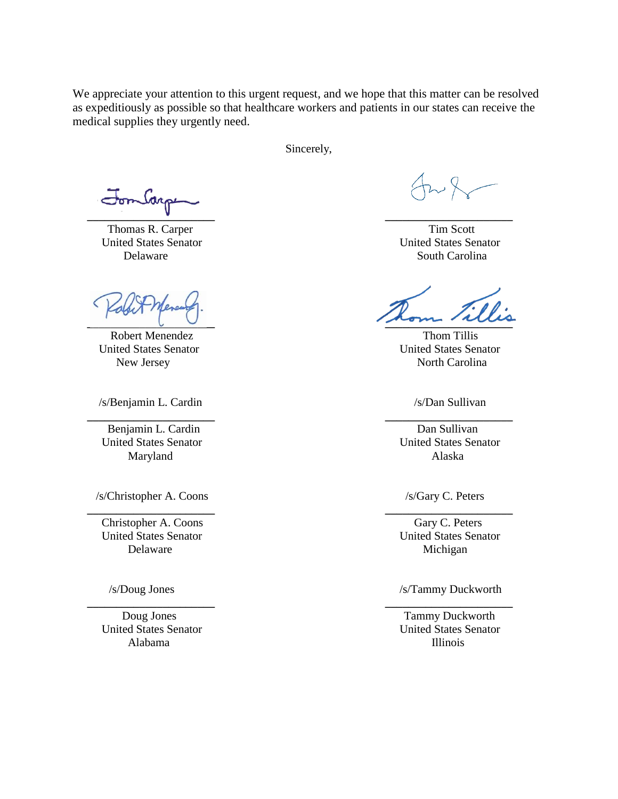We appreciate your attention to this urgent request, and we hope that this matter can be resolved as expeditiously as possible so that healthcare workers and patients in our states can receive the medical supplies they urgently need.

Sincerely,

 **\_\_\_\_\_\_\_\_\_\_\_\_\_\_\_\_\_\_\_\_\_\_ \_\_\_\_\_\_\_\_\_\_\_\_\_\_\_\_\_\_\_\_\_\_**

 **\_\_\_\_\_\_\_\_\_\_\_\_\_\_\_\_\_\_\_\_\_\_ \_\_\_\_\_\_\_\_\_\_\_\_\_\_\_\_\_\_\_\_\_\_**

 **\_\_\_\_\_\_\_\_\_\_\_\_\_\_\_\_\_\_\_\_\_\_ \_\_\_\_\_\_\_\_\_\_\_\_\_\_\_\_\_\_\_\_\_\_**

 **\_\_\_\_\_\_\_\_\_\_\_\_\_\_\_\_\_\_\_\_\_\_ \_\_\_\_\_\_\_\_\_\_\_\_\_\_\_\_\_\_\_\_\_\_**

Thomas R. Carper Tim Scott

Robert Menendez Thom Tillis

/s/Benjamin L. Cardin /s/Dan Sullivan

Benjamin L. Cardin Dan Sullivan Maryland Alaska

/s/Christopher A. Coons /s/Gary C. Peters

Christopher A. Coons Gary C. Peters United States Senator United States Senator Delaware Michigan

 United States Senator United States Senator Alabama Illinois

 United States Senator United States Senator Delaware South Carolina

 $\overline{\phantom{a}}$ 

United States Senator United States Senator New Jersey North Carolina

United States Senator United States Senator

/s/Doug Jones /s/Tammy Duckworth

Doug Jones Tammy Duckworth